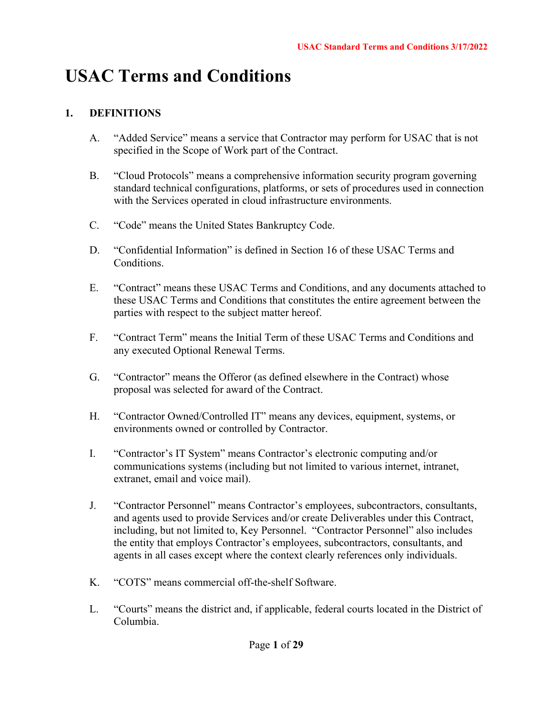# **USAC Terms and Conditions**

# **1. DEFINITIONS**

- A. "Added Service" means a service that Contractor may perform for USAC that is not specified in the Scope of Work part of the Contract.
- B. "Cloud Protocols" means a comprehensive information security program governing standard technical configurations, platforms, or sets of procedures used in connection with the Services operated in cloud infrastructure environments.
- C. "Code" means the United States Bankruptcy Code.
- D. "Confidential Information" is defined in Section 16 of these USAC Terms and Conditions.
- E. "Contract" means these USAC Terms and Conditions, and any documents attached to these USAC Terms and Conditions that constitutes the entire agreement between the parties with respect to the subject matter hereof.
- F. "Contract Term" means the Initial Term of these USAC Terms and Conditions and any executed Optional Renewal Terms.
- G. "Contractor" means the Offeror (as defined elsewhere in the Contract) whose proposal was selected for award of the Contract.
- H. "Contractor Owned/Controlled IT" means any devices, equipment, systems, or environments owned or controlled by Contractor.
- I. "Contractor's IT System" means Contractor's electronic computing and/or communications systems (including but not limited to various internet, intranet, extranet, email and voice mail).
- J. "Contractor Personnel" means Contractor's employees, subcontractors, consultants, and agents used to provide Services and/or create Deliverables under this Contract, including, but not limited to, Key Personnel. "Contractor Personnel" also includes the entity that employs Contractor's employees, subcontractors, consultants, and agents in all cases except where the context clearly references only individuals.
- K. "COTS" means commercial off-the-shelf Software.
- L. "Courts" means the district and, if applicable, federal courts located in the District of Columbia.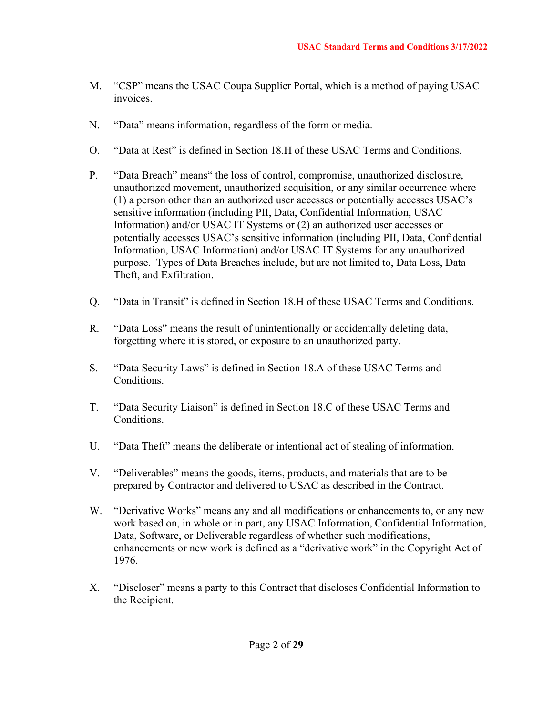- M. "CSP" means the USAC Coupa Supplier Portal, which is a method of paying USAC invoices.
- N. "Data" means information, regardless of the form or media.
- O. "Data at Rest" is defined in Section 18.H of these USAC Terms and Conditions.
- P. "Data Breach" means" the loss of control, compromise, unauthorized disclosure, unauthorized movement, unauthorized acquisition, or any similar occurrence where (1) a person other than an authorized user accesses or potentially accesses USAC's sensitive information (including PII, Data, Confidential Information, USAC Information) and/or USAC IT Systems or (2) an authorized user accesses or potentially accesses USAC's sensitive information (including PII, Data, Confidential Information, USAC Information) and/or USAC IT Systems for any unauthorized purpose. Types of Data Breaches include, but are not limited to, Data Loss, Data Theft, and Exfiltration.
- Q. "Data in Transit" is defined in Section 18.H of these USAC Terms and Conditions.
- R. "Data Loss" means the result of unintentionally or accidentally deleting data, forgetting where it is stored, or exposure to an unauthorized party.
- S. "Data Security Laws" is defined in Section 18.A of these USAC Terms and **Conditions**
- T. "Data Security Liaison" is defined in Section 18.C of these USAC Terms and Conditions.
- U. "Data Theft" means the deliberate or intentional act of stealing of information.
- V. "Deliverables" means the goods, items, products, and materials that are to be prepared by Contractor and delivered to USAC as described in the Contract.
- W. "Derivative Works" means any and all modifications or enhancements to, or any new work based on, in whole or in part, any USAC Information, Confidential Information, Data, Software, or Deliverable regardless of whether such modifications, enhancements or new work is defined as a "derivative work" in the Copyright Act of 1976.
- X. "Discloser" means a party to this Contract that discloses Confidential Information to the Recipient.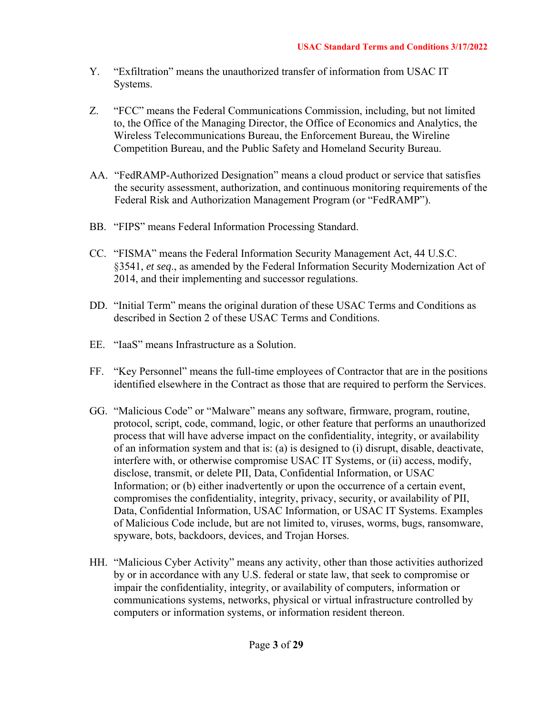- Y. "Exfiltration" means the unauthorized transfer of information from USAC IT Systems.
- Z. "FCC" means the Federal Communications Commission, including, but not limited to, the Office of the Managing Director, the Office of Economics and Analytics, the Wireless Telecommunications Bureau, the Enforcement Bureau, the Wireline Competition Bureau, and the Public Safety and Homeland Security Bureau.
- AA. "FedRAMP-Authorized Designation" means a cloud product or service that satisfies the security assessment, authorization, and continuous monitoring requirements of the Federal Risk and Authorization Management Program (or "FedRAMP").
- BB. "FIPS" means Federal Information Processing Standard.
- CC. "FISMA" means the Federal Information Security Management Act, 44 U.S.C. §3541, *et seq*., as amended by the Federal Information Security Modernization Act of 2014, and their implementing and successor regulations.
- DD. "Initial Term" means the original duration of these USAC Terms and Conditions as described in Section 2 of these USAC Terms and Conditions.
- EE. "IaaS" means Infrastructure as a Solution.
- FF. "Key Personnel" means the full-time employees of Contractor that are in the positions identified elsewhere in the Contract as those that are required to perform the Services.
- GG. "Malicious Code" or "Malware" means any software, firmware, program, routine, protocol, script, code, command, logic, or other feature that performs an unauthorized process that will have adverse impact on the confidentiality, integrity, or availability of an information system and that is: (a) is designed to (i) disrupt, disable, deactivate, interfere with, or otherwise compromise USAC IT Systems, or (ii) access, modify, disclose, transmit, or delete PII, Data, Confidential Information, or USAC Information; or (b) either inadvertently or upon the occurrence of a certain event, compromises the confidentiality, integrity, privacy, security, or availability of PII, Data, Confidential Information, USAC Information, or USAC IT Systems. Examples of Malicious Code include, but are not limited to, viruses, worms, bugs, ransomware, spyware, bots, backdoors, devices, and Trojan Horses.
- HH. "Malicious Cyber Activity" means any activity, other than those activities authorized by or in accordance with any U.S. federal or state law, that seek to compromise or impair the confidentiality, integrity, or availability of computers, information or communications systems, networks, physical or virtual infrastructure controlled by computers or information systems, or information resident thereon.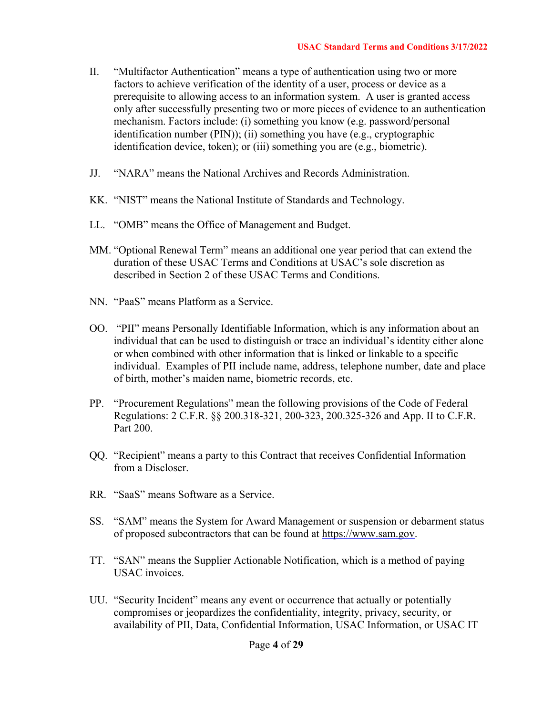- II. "Multifactor Authentication" means a type of authentication using two or more factors to achieve verification of the identity of a user, process or device as a prerequisite to allowing access to an information system. A user is granted access only after successfully presenting two or more pieces of evidence to an authentication mechanism. Factors include: (i) something you know (e.g. password/personal identification number (PIN)); (ii) something you have (e.g., cryptographic identification device, token); or (iii) something you are (e.g., biometric).
- JJ. "NARA" means the National Archives and Records Administration.
- KK. "NIST" means the National Institute of Standards and Technology.
- LL. "OMB" means the Office of Management and Budget.
- MM. "Optional Renewal Term" means an additional one year period that can extend the duration of these USAC Terms and Conditions at USAC's sole discretion as described in Section 2 of these USAC Terms and Conditions.
- NN. "PaaS" means Platform as a Service.
- OO. "PII" means Personally Identifiable Information, which is any information about an individual that can be used to distinguish or trace an individual's identity either alone or when combined with other information that is linked or linkable to a specific individual. Examples of PII include name, address, telephone number, date and place of birth, mother's maiden name, biometric records, etc.
- PP. "Procurement Regulations" mean the following provisions of the Code of Federal Regulations: 2 C.F.R. §§ 200.318-321, 200-323, 200.325-326 and App. II to C.F.R. Part 200.
- QQ. "Recipient" means a party to this Contract that receives Confidential Information from a Discloser.
- RR. "SaaS" means Software as a Service.
- SS. "SAM" means the System for Award Management or suspension or debarment status of proposed subcontractors that can be found at https://www.sam.gov.
- TT. "SAN" means the Supplier Actionable Notification, which is a method of paying USAC invoices.
- UU. "Security Incident" means any event or occurrence that actually or potentially compromises or jeopardizes the confidentiality, integrity, privacy, security, or availability of PII, Data, Confidential Information, USAC Information, or USAC IT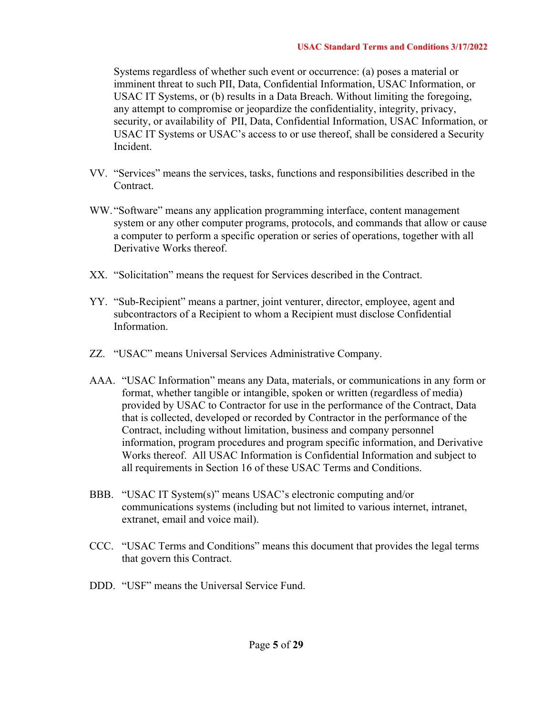Systems regardless of whether such event or occurrence: (a) poses a material or imminent threat to such PII, Data, Confidential Information, USAC Information, or USAC IT Systems, or (b) results in a Data Breach. Without limiting the foregoing, any attempt to compromise or jeopardize the confidentiality, integrity, privacy, security, or availability of PII, Data, Confidential Information, USAC Information, or USAC IT Systems or USAC's access to or use thereof, shall be considered a Security Incident.

- VV. "Services" means the services, tasks, functions and responsibilities described in the Contract.
- WW. "Software" means any application programming interface, content management system or any other computer programs, protocols, and commands that allow or cause a computer to perform a specific operation or series of operations, together with all Derivative Works thereof.
- XX. "Solicitation" means the request for Services described in the Contract.
- YY. "Sub-Recipient" means a partner, joint venturer, director, employee, agent and subcontractors of a Recipient to whom a Recipient must disclose Confidential Information.
- ZZ. "USAC" means Universal Services Administrative Company.
- AAA. "USAC Information" means any Data, materials, or communications in any form or format, whether tangible or intangible, spoken or written (regardless of media) provided by USAC to Contractor for use in the performance of the Contract, Data that is collected, developed or recorded by Contractor in the performance of the Contract, including without limitation, business and company personnel information, program procedures and program specific information, and Derivative Works thereof. All USAC Information is Confidential Information and subject to all requirements in Section 16 of these USAC Terms and Conditions.
- BBB. "USAC IT System(s)" means USAC's electronic computing and/or communications systems (including but not limited to various internet, intranet, extranet, email and voice mail).
- CCC. "USAC Terms and Conditions" means this document that provides the legal terms that govern this Contract.
- DDD. "USF" means the Universal Service Fund.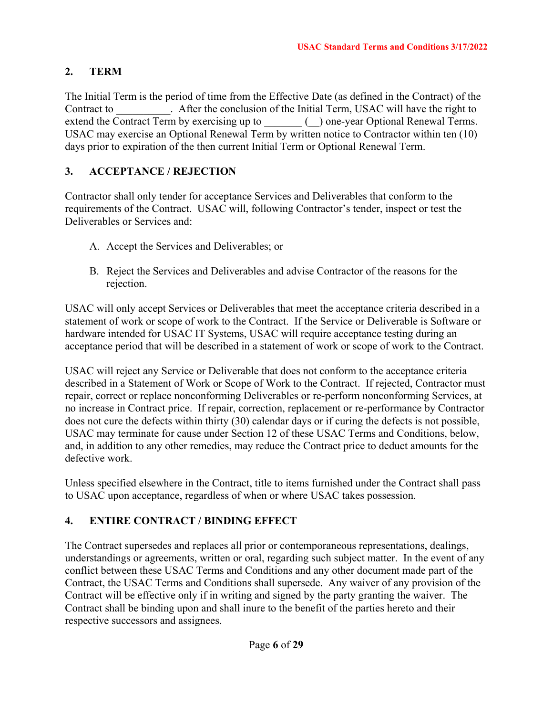# **2. TERM**

The Initial Term is the period of time from the Effective Date (as defined in the Contract) of the Contract to . After the conclusion of the Initial Term, USAC will have the right to extend the Contract Term by exercising up to \_\_\_\_\_\_ (\_) one-year Optional Renewal Terms. USAC may exercise an Optional Renewal Term by written notice to Contractor within ten (10) days prior to expiration of the then current Initial Term or Optional Renewal Term.

# **3. ACCEPTANCE / REJECTION**

Contractor shall only tender for acceptance Services and Deliverables that conform to the requirements of the Contract. USAC will, following Contractor's tender, inspect or test the Deliverables or Services and:

- A. Accept the Services and Deliverables; or
- B. Reject the Services and Deliverables and advise Contractor of the reasons for the rejection.

USAC will only accept Services or Deliverables that meet the acceptance criteria described in a statement of work or scope of work to the Contract. If the Service or Deliverable is Software or hardware intended for USAC IT Systems, USAC will require acceptance testing during an acceptance period that will be described in a statement of work or scope of work to the Contract.

USAC will reject any Service or Deliverable that does not conform to the acceptance criteria described in a Statement of Work or Scope of Work to the Contract. If rejected, Contractor must repair, correct or replace nonconforming Deliverables or re-perform nonconforming Services, at no increase in Contract price. If repair, correction, replacement or re-performance by Contractor does not cure the defects within thirty (30) calendar days or if curing the defects is not possible, USAC may terminate for cause under Section 12 of these USAC Terms and Conditions, below, and, in addition to any other remedies, may reduce the Contract price to deduct amounts for the defective work.

Unless specified elsewhere in the Contract, title to items furnished under the Contract shall pass to USAC upon acceptance, regardless of when or where USAC takes possession.

# **4. ENTIRE CONTRACT / BINDING EFFECT**

The Contract supersedes and replaces all prior or contemporaneous representations, dealings, understandings or agreements, written or oral, regarding such subject matter. In the event of any conflict between these USAC Terms and Conditions and any other document made part of the Contract, the USAC Terms and Conditions shall supersede. Any waiver of any provision of the Contract will be effective only if in writing and signed by the party granting the waiver. The Contract shall be binding upon and shall inure to the benefit of the parties hereto and their respective successors and assignees.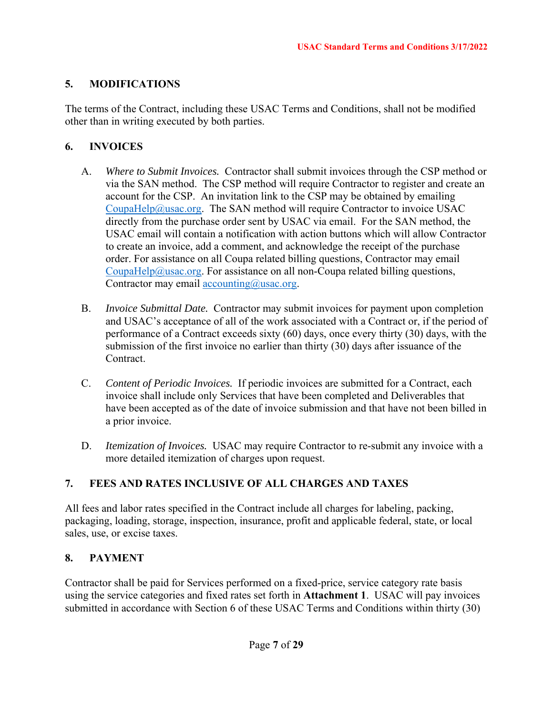# **5. MODIFICATIONS**

The terms of the Contract, including these USAC Terms and Conditions, shall not be modified other than in writing executed by both parties.

# **6. INVOICES**

- A. *Where to Submit Invoices.* Contractor shall submit invoices through the CSP method or via the SAN method. The CSP method will require Contractor to register and create an account for the CSP. An invitation link to the CSP may be obtained by emailing CoupaHelp@usac.org. The SAN method will require Contractor to invoice USAC directly from the purchase order sent by USAC via email. For the SAN method, the USAC email will contain a notification with action buttons which will allow Contractor to create an invoice, add a comment, and acknowledge the receipt of the purchase order. For assistance on all Coupa related billing questions, Contractor may email CoupaHelp@usac.org. For assistance on all non-Coupa related billing questions, Contractor may email  $\arccos \frac{\log(\alpha)}{\log(\alpha)}$ usac.org.
- B. *Invoice Submittal Date.* Contractor may submit invoices for payment upon completion and USAC's acceptance of all of the work associated with a Contract or, if the period of performance of a Contract exceeds sixty (60) days, once every thirty (30) days, with the submission of the first invoice no earlier than thirty (30) days after issuance of the Contract.
- C. *Content of Periodic Invoices.* If periodic invoices are submitted for a Contract, each invoice shall include only Services that have been completed and Deliverables that have been accepted as of the date of invoice submission and that have not been billed in a prior invoice.
- D. *Itemization of Invoices.* USAC may require Contractor to re-submit any invoice with a more detailed itemization of charges upon request.

# **7. FEES AND RATES INCLUSIVE OF ALL CHARGES AND TAXES**

All fees and labor rates specified in the Contract include all charges for labeling, packing, packaging, loading, storage, inspection, insurance, profit and applicable federal, state, or local sales, use, or excise taxes.

# **8. PAYMENT**

Contractor shall be paid for Services performed on a fixed-price, service category rate basis using the service categories and fixed rates set forth in **Attachment 1**. USAC will pay invoices submitted in accordance with Section 6 of these USAC Terms and Conditions within thirty (30)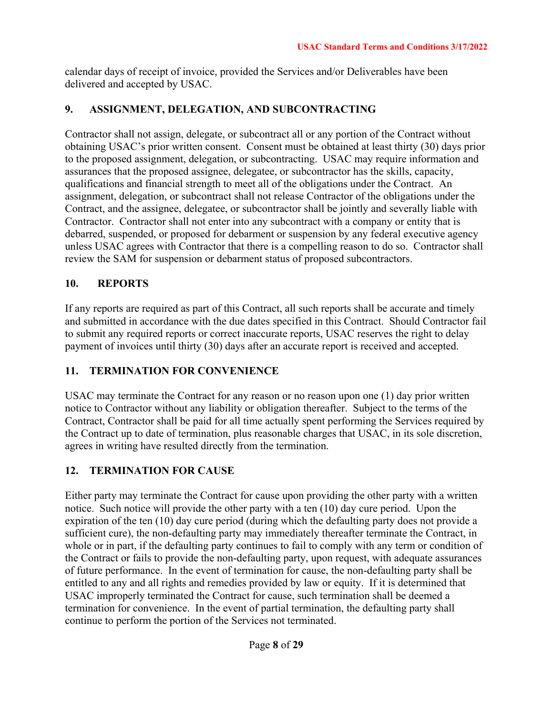calendar days of receipt of invoice, provided the Services and/or Deliverables have been delivered and accepted by USAC.

## **9. ASSIGNMENT, DELEGATION, AND SUBCONTRACTING**

Contractor shall not assign, delegate, or subcontract all or any portion of the Contract without obtaining USAC's prior written consent. Consent must be obtained at least thirty (30) days prior to the proposed assignment, delegation, or subcontracting. USAC may require information and assurances that the proposed assignee, delegatee, or subcontractor has the skills, capacity, qualifications and financial strength to meet all of the obligations under the Contract. An assignment, delegation, or subcontract shall not release Contractor of the obligations under the Contract, and the assignee, delegatee, or subcontractor shall be jointly and severally liable with Contractor. Contractor shall not enter into any subcontract with a company or entity that is debarred, suspended, or proposed for debarment or suspension by any federal executive agency unless USAC agrees with Contractor that there is a compelling reason to do so. Contractor shall review the SAM for suspension or debarment status of proposed subcontractors.

# **10. REPORTS**

If any reports are required as part of this Contract, all such reports shall be accurate and timely and submitted in accordance with the due dates specified in this Contract. Should Contractor fail to submit any required reports or correct inaccurate reports, USAC reserves the right to delay payment of invoices until thirty (30) days after an accurate report is received and accepted.

# **11. TERMINATION FOR CONVENIENCE**

USAC may terminate the Contract for any reason or no reason upon one (1) day prior written notice to Contractor without any liability or obligation thereafter. Subject to the terms of the Contract, Contractor shall be paid for all time actually spent performing the Services required by the Contract up to date of termination, plus reasonable charges that USAC, in its sole discretion, agrees in writing have resulted directly from the termination.

# **12. TERMINATION FOR CAUSE**

Either party may terminate the Contract for cause upon providing the other party with a written notice. Such notice will provide the other party with a ten (10) day cure period. Upon the expiration of the ten (10) day cure period (during which the defaulting party does not provide a sufficient cure), the non-defaulting party may immediately thereafter terminate the Contract, in whole or in part, if the defaulting party continues to fail to comply with any term or condition of the Contract or fails to provide the non-defaulting party, upon request, with adequate assurances of future performance. In the event of termination for cause, the non-defaulting party shall be entitled to any and all rights and remedies provided by law or equity. If it is determined that USAC improperly terminated the Contract for cause, such termination shall be deemed a termination for convenience. In the event of partial termination, the defaulting party shall continue to perform the portion of the Services not terminated.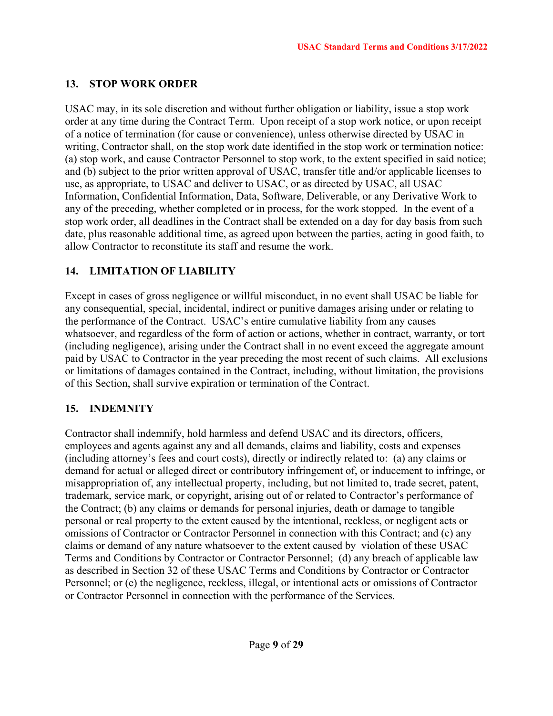# **13. STOP WORK ORDER**

USAC may, in its sole discretion and without further obligation or liability, issue a stop work order at any time during the Contract Term. Upon receipt of a stop work notice, or upon receipt of a notice of termination (for cause or convenience), unless otherwise directed by USAC in writing, Contractor shall, on the stop work date identified in the stop work or termination notice: (a) stop work, and cause Contractor Personnel to stop work, to the extent specified in said notice; and (b) subject to the prior written approval of USAC, transfer title and/or applicable licenses to use, as appropriate, to USAC and deliver to USAC, or as directed by USAC, all USAC Information, Confidential Information, Data, Software, Deliverable, or any Derivative Work to any of the preceding, whether completed or in process, for the work stopped. In the event of a stop work order, all deadlines in the Contract shall be extended on a day for day basis from such date, plus reasonable additional time, as agreed upon between the parties, acting in good faith, to allow Contractor to reconstitute its staff and resume the work.

# **14. LIMITATION OF LIABILITY**

Except in cases of gross negligence or willful misconduct, in no event shall USAC be liable for any consequential, special, incidental, indirect or punitive damages arising under or relating to the performance of the Contract. USAC's entire cumulative liability from any causes whatsoever, and regardless of the form of action or actions, whether in contract, warranty, or tort (including negligence), arising under the Contract shall in no event exceed the aggregate amount paid by USAC to Contractor in the year preceding the most recent of such claims. All exclusions or limitations of damages contained in the Contract, including, without limitation, the provisions of this Section, shall survive expiration or termination of the Contract.

# **15. INDEMNITY**

Contractor shall indemnify, hold harmless and defend USAC and its directors, officers, employees and agents against any and all demands, claims and liability, costs and expenses (including attorney's fees and court costs), directly or indirectly related to: (a) any claims or demand for actual or alleged direct or contributory infringement of, or inducement to infringe, or misappropriation of, any intellectual property, including, but not limited to, trade secret, patent, trademark, service mark, or copyright, arising out of or related to Contractor's performance of the Contract; (b) any claims or demands for personal injuries, death or damage to tangible personal or real property to the extent caused by the intentional, reckless, or negligent acts or omissions of Contractor or Contractor Personnel in connection with this Contract; and (c) any claims or demand of any nature whatsoever to the extent caused by violation of these USAC Terms and Conditions by Contractor or Contractor Personnel; (d) any breach of applicable law as described in Section 32 of these USAC Terms and Conditions by Contractor or Contractor Personnel; or (e) the negligence, reckless, illegal, or intentional acts or omissions of Contractor or Contractor Personnel in connection with the performance of the Services.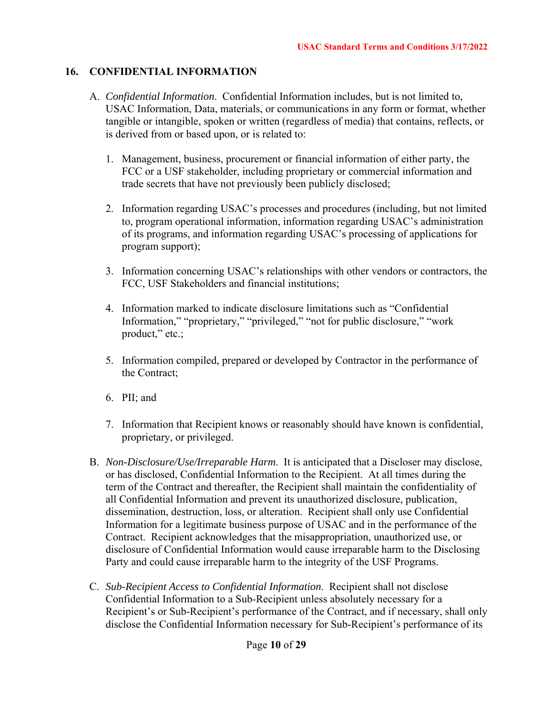## **16. CONFIDENTIAL INFORMATION**

- A. *Confidential Information*. Confidential Information includes, but is not limited to, USAC Information, Data, materials, or communications in any form or format, whether tangible or intangible, spoken or written (regardless of media) that contains, reflects, or is derived from or based upon, or is related to:
	- 1. Management, business, procurement or financial information of either party, the FCC or a USF stakeholder, including proprietary or commercial information and trade secrets that have not previously been publicly disclosed;
	- 2. Information regarding USAC's processes and procedures (including, but not limited to, program operational information, information regarding USAC's administration of its programs, and information regarding USAC's processing of applications for program support);
	- 3. Information concerning USAC's relationships with other vendors or contractors, the FCC, USF Stakeholders and financial institutions;
	- 4. Information marked to indicate disclosure limitations such as "Confidential Information," "proprietary," "privileged," "not for public disclosure," "work product," etc.;
	- 5. Information compiled, prepared or developed by Contractor in the performance of the Contract;
	- 6. PII; and
	- 7. Information that Recipient knows or reasonably should have known is confidential, proprietary, or privileged.
- B. *Non-Disclosure/Use/Irreparable Harm*. It is anticipated that a Discloser may disclose, or has disclosed, Confidential Information to the Recipient. At all times during the term of the Contract and thereafter, the Recipient shall maintain the confidentiality of all Confidential Information and prevent its unauthorized disclosure, publication, dissemination, destruction, loss, or alteration. Recipient shall only use Confidential Information for a legitimate business purpose of USAC and in the performance of the Contract. Recipient acknowledges that the misappropriation, unauthorized use, or disclosure of Confidential Information would cause irreparable harm to the Disclosing Party and could cause irreparable harm to the integrity of the USF Programs.
- C. *Sub-Recipient Access to Confidential Information*. Recipient shall not disclose Confidential Information to a Sub-Recipient unless absolutely necessary for a Recipient's or Sub-Recipient's performance of the Contract, and if necessary, shall only disclose the Confidential Information necessary for Sub-Recipient's performance of its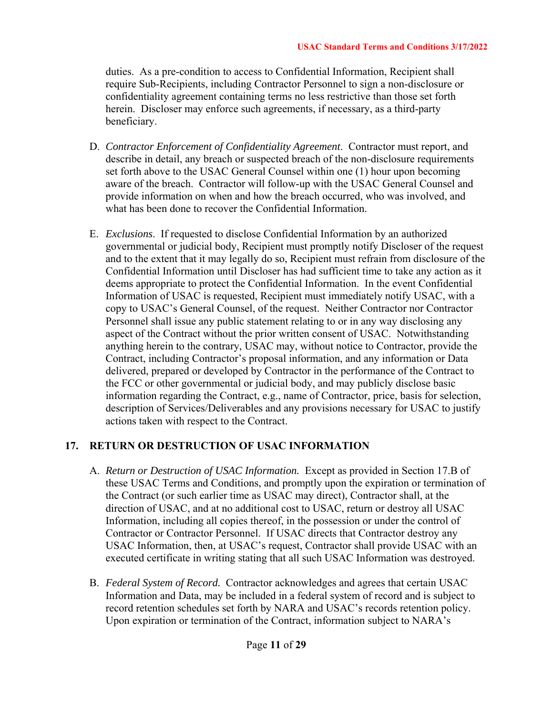duties. As a pre-condition to access to Confidential Information, Recipient shall require Sub-Recipients, including Contractor Personnel to sign a non-disclosure or confidentiality agreement containing terms no less restrictive than those set forth herein. Discloser may enforce such agreements, if necessary, as a third-party beneficiary.

- D. *Contractor Enforcement of Confidentiality Agreement*. Contractor must report, and describe in detail, any breach or suspected breach of the non-disclosure requirements set forth above to the USAC General Counsel within one (1) hour upon becoming aware of the breach. Contractor will follow-up with the USAC General Counsel and provide information on when and how the breach occurred, who was involved, and what has been done to recover the Confidential Information.
- E. *Exclusions*. If requested to disclose Confidential Information by an authorized governmental or judicial body, Recipient must promptly notify Discloser of the request and to the extent that it may legally do so, Recipient must refrain from disclosure of the Confidential Information until Discloser has had sufficient time to take any action as it deems appropriate to protect the Confidential Information. In the event Confidential Information of USAC is requested, Recipient must immediately notify USAC, with a copy to USAC's General Counsel, of the request. Neither Contractor nor Contractor Personnel shall issue any public statement relating to or in any way disclosing any aspect of the Contract without the prior written consent of USAC. Notwithstanding anything herein to the contrary, USAC may, without notice to Contractor, provide the Contract, including Contractor's proposal information, and any information or Data delivered, prepared or developed by Contractor in the performance of the Contract to the FCC or other governmental or judicial body, and may publicly disclose basic information regarding the Contract, e.g., name of Contractor, price, basis for selection, description of Services/Deliverables and any provisions necessary for USAC to justify actions taken with respect to the Contract.

# **17. RETURN OR DESTRUCTION OF USAC INFORMATION**

- A. *Return or Destruction of USAC Information.* Except as provided in Section 17.B of these USAC Terms and Conditions, and promptly upon the expiration or termination of the Contract (or such earlier time as USAC may direct), Contractor shall, at the direction of USAC, and at no additional cost to USAC, return or destroy all USAC Information, including all copies thereof, in the possession or under the control of Contractor or Contractor Personnel. If USAC directs that Contractor destroy any USAC Information, then, at USAC's request, Contractor shall provide USAC with an executed certificate in writing stating that all such USAC Information was destroyed.
- B. *Federal System of Record.* Contractor acknowledges and agrees that certain USAC Information and Data, may be included in a federal system of record and is subject to record retention schedules set forth by NARA and USAC's records retention policy. Upon expiration or termination of the Contract, information subject to NARA's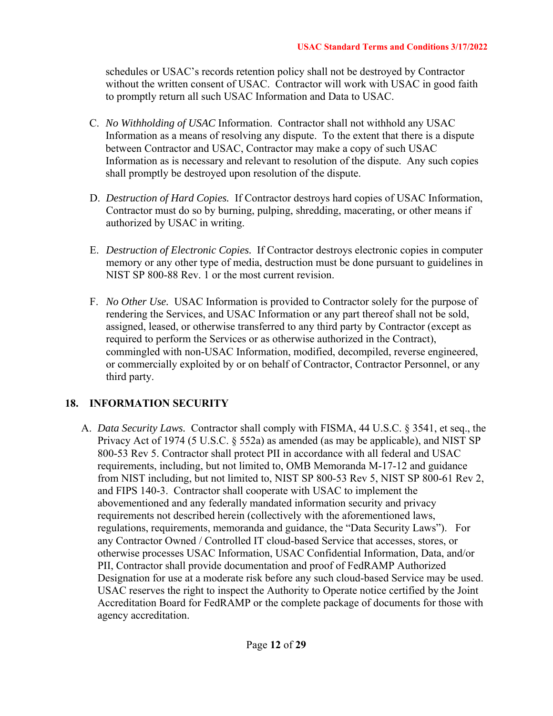schedules or USAC's records retention policy shall not be destroyed by Contractor without the written consent of USAC. Contractor will work with USAC in good faith to promptly return all such USAC Information and Data to USAC.

- C. *No Withholding of USAC* Information. Contractor shall not withhold any USAC Information as a means of resolving any dispute. To the extent that there is a dispute between Contractor and USAC, Contractor may make a copy of such USAC Information as is necessary and relevant to resolution of the dispute. Any such copies shall promptly be destroyed upon resolution of the dispute.
- D. *Destruction of Hard Copies.* If Contractor destroys hard copies of USAC Information, Contractor must do so by burning, pulping, shredding, macerating, or other means if authorized by USAC in writing.
- E. *Destruction of Electronic Copies.* If Contractor destroys electronic copies in computer memory or any other type of media, destruction must be done pursuant to guidelines in NIST SP 800-88 Rev. 1 or the most current revision.
- F. *No Other Use.* USAC Information is provided to Contractor solely for the purpose of rendering the Services, and USAC Information or any part thereof shall not be sold, assigned, leased, or otherwise transferred to any third party by Contractor (except as required to perform the Services or as otherwise authorized in the Contract), commingled with non-USAC Information, modified, decompiled, reverse engineered, or commercially exploited by or on behalf of Contractor, Contractor Personnel, or any third party.

#### **18. INFORMATION SECURITY**

A. *Data Security Laws.* Contractor shall comply with FISMA, 44 U.S.C. § 3541, et seq., the Privacy Act of 1974 (5 U.S.C. § 552a) as amended (as may be applicable), and NIST SP 800-53 Rev 5. Contractor shall protect PII in accordance with all federal and USAC requirements, including, but not limited to, OMB Memoranda M-17-12 and guidance from NIST including, but not limited to, NIST SP 800-53 Rev 5, NIST SP 800-61 Rev 2, and FIPS 140-3. Contractor shall cooperate with USAC to implement the abovementioned and any federally mandated information security and privacy requirements not described herein (collectively with the aforementioned laws, regulations, requirements, memoranda and guidance, the "Data Security Laws"). For any Contractor Owned / Controlled IT cloud-based Service that accesses, stores, or otherwise processes USAC Information, USAC Confidential Information, Data, and/or PII, Contractor shall provide documentation and proof of FedRAMP Authorized Designation for use at a moderate risk before any such cloud-based Service may be used. USAC reserves the right to inspect the Authority to Operate notice certified by the Joint Accreditation Board for FedRAMP or the complete package of documents for those with agency accreditation.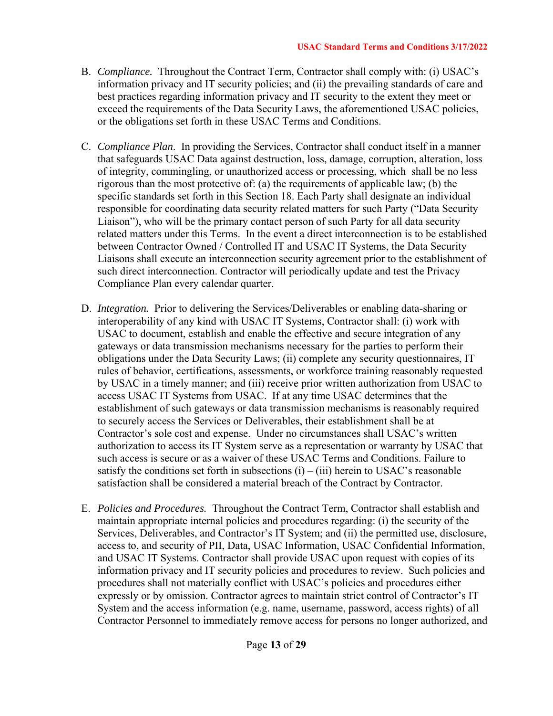- B. *Compliance.* Throughout the Contract Term, Contractor shall comply with: (i) USAC's information privacy and IT security policies; and (ii) the prevailing standards of care and best practices regarding information privacy and IT security to the extent they meet or exceed the requirements of the Data Security Laws, the aforementioned USAC policies, or the obligations set forth in these USAC Terms and Conditions.
- C. *Compliance Plan*. In providing the Services, Contractor shall conduct itself in a manner that safeguards USAC Data against destruction, loss, damage, corruption, alteration, loss of integrity, commingling, or unauthorized access or processing, which shall be no less rigorous than the most protective of: (a) the requirements of applicable law; (b) the specific standards set forth in this Section 18. Each Party shall designate an individual responsible for coordinating data security related matters for such Party ("Data Security Liaison"), who will be the primary contact person of such Party for all data security related matters under this Terms. In the event a direct interconnection is to be established between Contractor Owned / Controlled IT and USAC IT Systems, the Data Security Liaisons shall execute an interconnection security agreement prior to the establishment of such direct interconnection. Contractor will periodically update and test the Privacy Compliance Plan every calendar quarter.
- D. *Integration.* Prior to delivering the Services/Deliverables or enabling data-sharing or interoperability of any kind with USAC IT Systems, Contractor shall: (i) work with USAC to document, establish and enable the effective and secure integration of any gateways or data transmission mechanisms necessary for the parties to perform their obligations under the Data Security Laws; (ii) complete any security questionnaires, IT rules of behavior, certifications, assessments, or workforce training reasonably requested by USAC in a timely manner; and (iii) receive prior written authorization from USAC to access USAC IT Systems from USAC. If at any time USAC determines that the establishment of such gateways or data transmission mechanisms is reasonably required to securely access the Services or Deliverables, their establishment shall be at Contractor's sole cost and expense. Under no circumstances shall USAC's written authorization to access its IT System serve as a representation or warranty by USAC that such access is secure or as a waiver of these USAC Terms and Conditions. Failure to satisfy the conditions set forth in subsections  $(i) - (iii)$  herein to USAC's reasonable satisfaction shall be considered a material breach of the Contract by Contractor.
- E. *Policies and Procedures.* Throughout the Contract Term, Contractor shall establish and maintain appropriate internal policies and procedures regarding: (i) the security of the Services, Deliverables, and Contractor's IT System; and (ii) the permitted use, disclosure, access to, and security of PII, Data, USAC Information, USAC Confidential Information, and USAC IT Systems. Contractor shall provide USAC upon request with copies of its information privacy and IT security policies and procedures to review. Such policies and procedures shall not materially conflict with USAC's policies and procedures either expressly or by omission. Contractor agrees to maintain strict control of Contractor's IT System and the access information (e.g. name, username, password, access rights) of all Contractor Personnel to immediately remove access for persons no longer authorized, and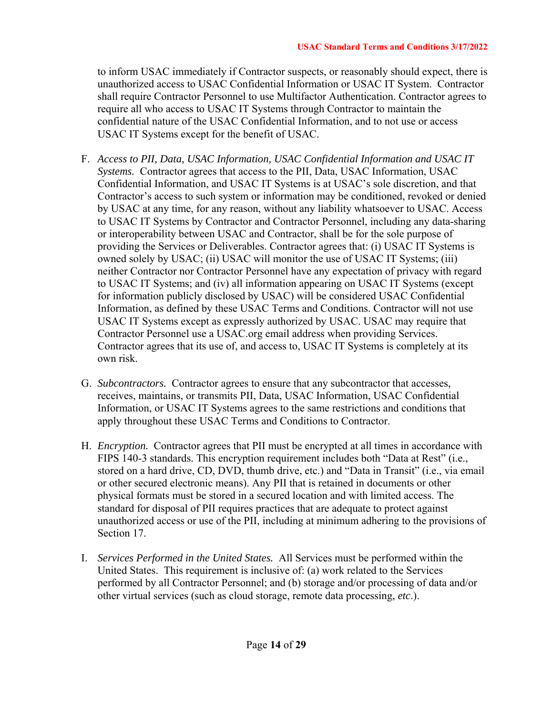to inform USAC immediately if Contractor suspects, or reasonably should expect, there is unauthorized access to USAC Confidential Information or USAC IT System. Contractor shall require Contractor Personnel to use Multifactor Authentication. Contractor agrees to require all who access to USAC IT Systems through Contractor to maintain the confidential nature of the USAC Confidential Information, and to not use or access USAC IT Systems except for the benefit of USAC.

- F. *Access to PII, Data, USAC Information, USAC Confidential Information and USAC IT Systems.* Contractor agrees that access to the PII, Data, USAC Information, USAC Confidential Information, and USAC IT Systems is at USAC's sole discretion, and that Contractor's access to such system or information may be conditioned, revoked or denied by USAC at any time, for any reason, without any liability whatsoever to USAC. Access to USAC IT Systems by Contractor and Contractor Personnel, including any data-sharing or interoperability between USAC and Contractor, shall be for the sole purpose of providing the Services or Deliverables. Contractor agrees that: (i) USAC IT Systems is owned solely by USAC; (ii) USAC will monitor the use of USAC IT Systems; (iii) neither Contractor nor Contractor Personnel have any expectation of privacy with regard to USAC IT Systems; and (iv) all information appearing on USAC IT Systems (except for information publicly disclosed by USAC) will be considered USAC Confidential Information, as defined by these USAC Terms and Conditions. Contractor will not use USAC IT Systems except as expressly authorized by USAC. USAC may require that Contractor Personnel use a USAC.org email address when providing Services. Contractor agrees that its use of, and access to, USAC IT Systems is completely at its own risk.
- G. *Subcontractors.* Contractor agrees to ensure that any subcontractor that accesses, receives, maintains, or transmits PII, Data, USAC Information, USAC Confidential Information, or USAC IT Systems agrees to the same restrictions and conditions that apply throughout these USAC Terms and Conditions to Contractor.
- H. *Encryption.* Contractor agrees that PII must be encrypted at all times in accordance with FIPS 140-3 standards. This encryption requirement includes both "Data at Rest" (i.e., stored on a hard drive, CD, DVD, thumb drive, etc.) and "Data in Transit" (i.e., via email or other secured electronic means). Any PII that is retained in documents or other physical formats must be stored in a secured location and with limited access. The standard for disposal of PII requires practices that are adequate to protect against unauthorized access or use of the PII, including at minimum adhering to the provisions of Section 17.
- I. *Services Performed in the United States.* All Services must be performed within the United States. This requirement is inclusive of: (a) work related to the Services performed by all Contractor Personnel; and (b) storage and/or processing of data and/or other virtual services (such as cloud storage, remote data processing, *etc*.).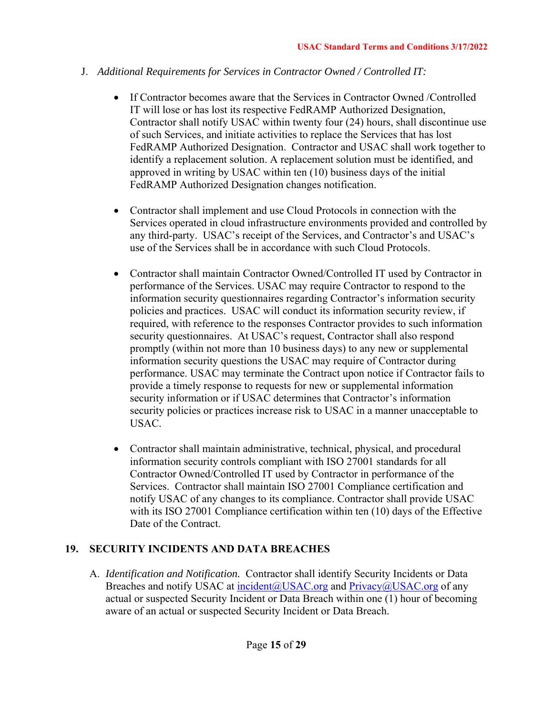## J. *Additional Requirements for Services in Contractor Owned / Controlled IT:*

- If Contractor becomes aware that the Services in Contractor Owned /Controlled IT will lose or has lost its respective FedRAMP Authorized Designation, Contractor shall notify USAC within twenty four (24) hours, shall discontinue use of such Services, and initiate activities to replace the Services that has lost FedRAMP Authorized Designation. Contractor and USAC shall work together to identify a replacement solution. A replacement solution must be identified, and approved in writing by USAC within ten (10) business days of the initial FedRAMP Authorized Designation changes notification.
- Contractor shall implement and use Cloud Protocols in connection with the Services operated in cloud infrastructure environments provided and controlled by any third-party. USAC's receipt of the Services, and Contractor's and USAC's use of the Services shall be in accordance with such Cloud Protocols.
- Contractor shall maintain Contractor Owned/Controlled IT used by Contractor in performance of the Services. USAC may require Contractor to respond to the information security questionnaires regarding Contractor's information security policies and practices. USAC will conduct its information security review, if required, with reference to the responses Contractor provides to such information security questionnaires. At USAC's request, Contractor shall also respond promptly (within not more than 10 business days) to any new or supplemental information security questions the USAC may require of Contractor during performance. USAC may terminate the Contract upon notice if Contractor fails to provide a timely response to requests for new or supplemental information security information or if USAC determines that Contractor's information security policies or practices increase risk to USAC in a manner unacceptable to USAC.
- Contractor shall maintain administrative, technical, physical, and procedural information security controls compliant with ISO 27001 standards for all Contractor Owned/Controlled IT used by Contractor in performance of the Services. Contractor shall maintain ISO 27001 Compliance certification and notify USAC of any changes to its compliance. Contractor shall provide USAC with its ISO 27001 Compliance certification within ten (10) days of the Effective Date of the Contract.

# **19. SECURITY INCIDENTS AND DATA BREACHES**

A. *Identification and Notification.* Contractor shall identify Security Incidents or Data Breaches and notify USAC at  $\frac{\text{incident}(a) \text{USAC.org}}{\text{org}}$  and  $\frac{\text{Privatey}(a) \text{USAC.org}}{\text{org}}$  of any actual or suspected Security Incident or Data Breach within one (1) hour of becoming aware of an actual or suspected Security Incident or Data Breach.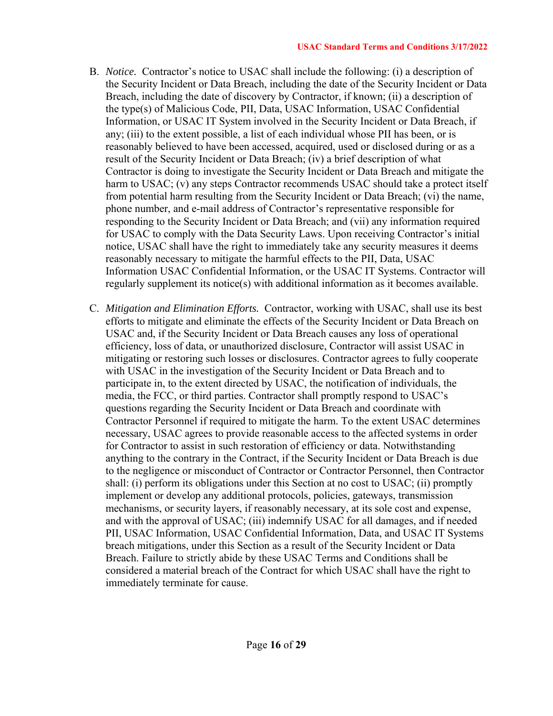- B. *Notice.* Contractor's notice to USAC shall include the following: (i) a description of the Security Incident or Data Breach, including the date of the Security Incident or Data Breach, including the date of discovery by Contractor, if known; (ii) a description of the type(s) of Malicious Code, PII, Data, USAC Information, USAC Confidential Information, or USAC IT System involved in the Security Incident or Data Breach, if any; (iii) to the extent possible, a list of each individual whose PII has been, or is reasonably believed to have been accessed, acquired, used or disclosed during or as a result of the Security Incident or Data Breach; (iv) a brief description of what Contractor is doing to investigate the Security Incident or Data Breach and mitigate the harm to USAC; (v) any steps Contractor recommends USAC should take a protect itself from potential harm resulting from the Security Incident or Data Breach; (vi) the name, phone number, and e-mail address of Contractor's representative responsible for responding to the Security Incident or Data Breach; and (vii) any information required for USAC to comply with the Data Security Laws. Upon receiving Contractor's initial notice, USAC shall have the right to immediately take any security measures it deems reasonably necessary to mitigate the harmful effects to the PII, Data, USAC Information USAC Confidential Information, or the USAC IT Systems. Contractor will regularly supplement its notice(s) with additional information as it becomes available.
- C. *Mitigation and Elimination Efforts.* Contractor, working with USAC, shall use its best efforts to mitigate and eliminate the effects of the Security Incident or Data Breach on USAC and, if the Security Incident or Data Breach causes any loss of operational efficiency, loss of data, or unauthorized disclosure, Contractor will assist USAC in mitigating or restoring such losses or disclosures. Contractor agrees to fully cooperate with USAC in the investigation of the Security Incident or Data Breach and to participate in, to the extent directed by USAC, the notification of individuals, the media, the FCC, or third parties. Contractor shall promptly respond to USAC's questions regarding the Security Incident or Data Breach and coordinate with Contractor Personnel if required to mitigate the harm. To the extent USAC determines necessary, USAC agrees to provide reasonable access to the affected systems in order for Contractor to assist in such restoration of efficiency or data. Notwithstanding anything to the contrary in the Contract, if the Security Incident or Data Breach is due to the negligence or misconduct of Contractor or Contractor Personnel, then Contractor shall: (i) perform its obligations under this Section at no cost to USAC; (ii) promptly implement or develop any additional protocols, policies, gateways, transmission mechanisms, or security layers, if reasonably necessary, at its sole cost and expense, and with the approval of USAC; (iii) indemnify USAC for all damages, and if needed PII, USAC Information, USAC Confidential Information, Data, and USAC IT Systems breach mitigations, under this Section as a result of the Security Incident or Data Breach. Failure to strictly abide by these USAC Terms and Conditions shall be considered a material breach of the Contract for which USAC shall have the right to immediately terminate for cause.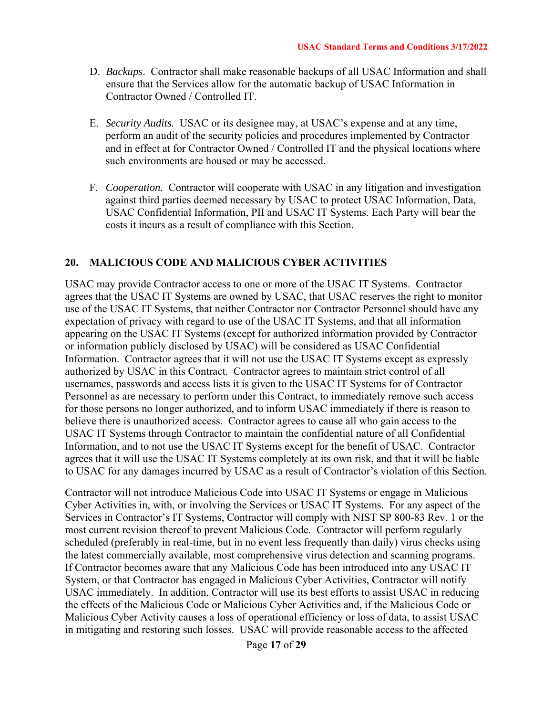- D. *Backups*. Contractor shall make reasonable backups of all USAC Information and shall ensure that the Services allow for the automatic backup of USAC Information in Contractor Owned / Controlled IT.
- E. *Security Audits.* USAC or its designee may, at USAC's expense and at any time, perform an audit of the security policies and procedures implemented by Contractor and in effect at for Contractor Owned / Controlled IT and the physical locations where such environments are housed or may be accessed.
- F. *Cooperation.* Contractor will cooperate with USAC in any litigation and investigation against third parties deemed necessary by USAC to protect USAC Information, Data, USAC Confidential Information, PII and USAC IT Systems. Each Party will bear the costs it incurs as a result of compliance with this Section.

#### **20. MALICIOUS CODE AND MALICIOUS CYBER ACTIVITIES**

USAC may provide Contractor access to one or more of the USAC IT Systems. Contractor agrees that the USAC IT Systems are owned by USAC, that USAC reserves the right to monitor use of the USAC IT Systems, that neither Contractor nor Contractor Personnel should have any expectation of privacy with regard to use of the USAC IT Systems, and that all information appearing on the USAC IT Systems (except for authorized information provided by Contractor or information publicly disclosed by USAC) will be considered as USAC Confidential Information. Contractor agrees that it will not use the USAC IT Systems except as expressly authorized by USAC in this Contract. Contractor agrees to maintain strict control of all usernames, passwords and access lists it is given to the USAC IT Systems for of Contractor Personnel as are necessary to perform under this Contract, to immediately remove such access for those persons no longer authorized, and to inform USAC immediately if there is reason to believe there is unauthorized access. Contractor agrees to cause all who gain access to the USAC IT Systems through Contractor to maintain the confidential nature of all Confidential Information, and to not use the USAC IT Systems except for the benefit of USAC. Contractor agrees that it will use the USAC IT Systems completely at its own risk, and that it will be liable to USAC for any damages incurred by USAC as a result of Contractor's violation of this Section.

Contractor will not introduce Malicious Code into USAC IT Systems or engage in Malicious Cyber Activities in, with, or involving the Services or USAC IT Systems. For any aspect of the Services in Contractor's IT Systems, Contractor will comply with NIST SP 800-83 Rev. 1 or the most current revision thereof to prevent Malicious Code. Contractor will perform regularly scheduled (preferably in real-time, but in no event less frequently than daily) virus checks using the latest commercially available, most comprehensive virus detection and scanning programs. If Contractor becomes aware that any Malicious Code has been introduced into any USAC IT System, or that Contractor has engaged in Malicious Cyber Activities, Contractor will notify USAC immediately. In addition, Contractor will use its best efforts to assist USAC in reducing the effects of the Malicious Code or Malicious Cyber Activities and, if the Malicious Code or Malicious Cyber Activity causes a loss of operational efficiency or loss of data, to assist USAC in mitigating and restoring such losses. USAC will provide reasonable access to the affected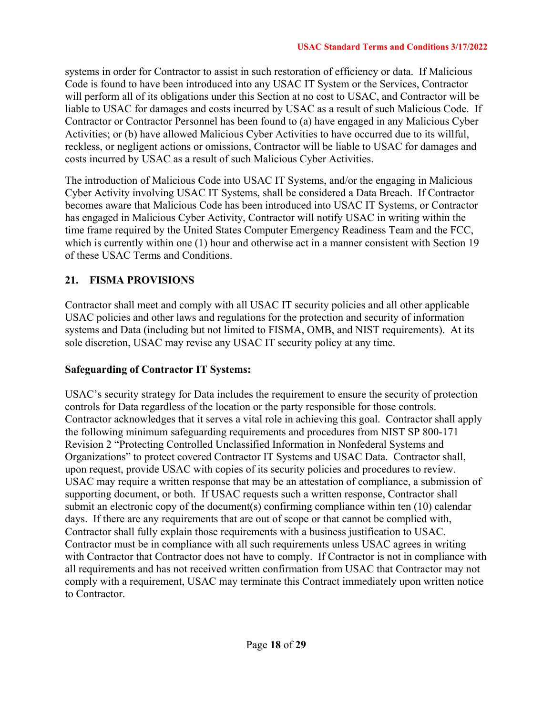systems in order for Contractor to assist in such restoration of efficiency or data. If Malicious Code is found to have been introduced into any USAC IT System or the Services, Contractor will perform all of its obligations under this Section at no cost to USAC, and Contractor will be liable to USAC for damages and costs incurred by USAC as a result of such Malicious Code. If Contractor or Contractor Personnel has been found to (a) have engaged in any Malicious Cyber Activities; or (b) have allowed Malicious Cyber Activities to have occurred due to its willful, reckless, or negligent actions or omissions, Contractor will be liable to USAC for damages and costs incurred by USAC as a result of such Malicious Cyber Activities.

The introduction of Malicious Code into USAC IT Systems, and/or the engaging in Malicious Cyber Activity involving USAC IT Systems, shall be considered a Data Breach. If Contractor becomes aware that Malicious Code has been introduced into USAC IT Systems, or Contractor has engaged in Malicious Cyber Activity, Contractor will notify USAC in writing within the time frame required by the United States Computer Emergency Readiness Team and the FCC, which is currently within one (1) hour and otherwise act in a manner consistent with Section 19 of these USAC Terms and Conditions.

# **21. FISMA PROVISIONS**

Contractor shall meet and comply with all USAC IT security policies and all other applicable USAC policies and other laws and regulations for the protection and security of information systems and Data (including but not limited to FISMA, OMB, and NIST requirements). At its sole discretion, USAC may revise any USAC IT security policy at any time.

#### **Safeguarding of Contractor IT Systems:**

USAC's security strategy for Data includes the requirement to ensure the security of protection controls for Data regardless of the location or the party responsible for those controls. Contractor acknowledges that it serves a vital role in achieving this goal. Contractor shall apply the following minimum safeguarding requirements and procedures from NIST SP 800-171 Revision 2 "Protecting Controlled Unclassified Information in Nonfederal Systems and Organizations" to protect covered Contractor IT Systems and USAC Data. Contractor shall, upon request, provide USAC with copies of its security policies and procedures to review. USAC may require a written response that may be an attestation of compliance, a submission of supporting document, or both. If USAC requests such a written response, Contractor shall submit an electronic copy of the document(s) confirming compliance within ten (10) calendar days. If there are any requirements that are out of scope or that cannot be complied with, Contractor shall fully explain those requirements with a business justification to USAC. Contractor must be in compliance with all such requirements unless USAC agrees in writing with Contractor that Contractor does not have to comply. If Contractor is not in compliance with all requirements and has not received written confirmation from USAC that Contractor may not comply with a requirement, USAC may terminate this Contract immediately upon written notice to Contractor.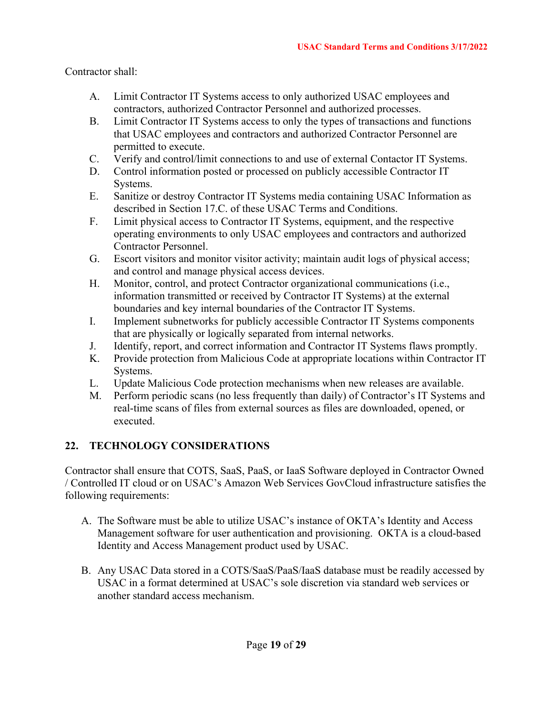Contractor shall:

- A. Limit Contractor IT Systems access to only authorized USAC employees and contractors, authorized Contractor Personnel and authorized processes.
- B. Limit Contractor IT Systems access to only the types of transactions and functions that USAC employees and contractors and authorized Contractor Personnel are permitted to execute.
- C. Verify and control/limit connections to and use of external Contactor IT Systems.
- D. Control information posted or processed on publicly accessible Contractor IT Systems.
- E. Sanitize or destroy Contractor IT Systems media containing USAC Information as described in Section 17.C. of these USAC Terms and Conditions.
- F. Limit physical access to Contractor IT Systems, equipment, and the respective operating environments to only USAC employees and contractors and authorized Contractor Personnel.
- G. Escort visitors and monitor visitor activity; maintain audit logs of physical access; and control and manage physical access devices.
- H. Monitor, control, and protect Contractor organizational communications (i.e., information transmitted or received by Contractor IT Systems) at the external boundaries and key internal boundaries of the Contractor IT Systems.
- I. Implement subnetworks for publicly accessible Contractor IT Systems components that are physically or logically separated from internal networks.
- J. Identify, report, and correct information and Contractor IT Systems flaws promptly.
- K. Provide protection from Malicious Code at appropriate locations within Contractor IT Systems.
- L. Update Malicious Code protection mechanisms when new releases are available.
- M. Perform periodic scans (no less frequently than daily) of Contractor's IT Systems and real-time scans of files from external sources as files are downloaded, opened, or executed.

# **22. TECHNOLOGY CONSIDERATIONS**

Contractor shall ensure that COTS, SaaS, PaaS, or IaaS Software deployed in Contractor Owned / Controlled IT cloud or on USAC's Amazon Web Services GovCloud infrastructure satisfies the following requirements:

- A. The Software must be able to utilize USAC's instance of OKTA's Identity and Access Management software for user authentication and provisioning. OKTA is a cloud-based Identity and Access Management product used by USAC.
- B. Any USAC Data stored in a COTS/SaaS/PaaS/IaaS database must be readily accessed by USAC in a format determined at USAC's sole discretion via standard web services or another standard access mechanism.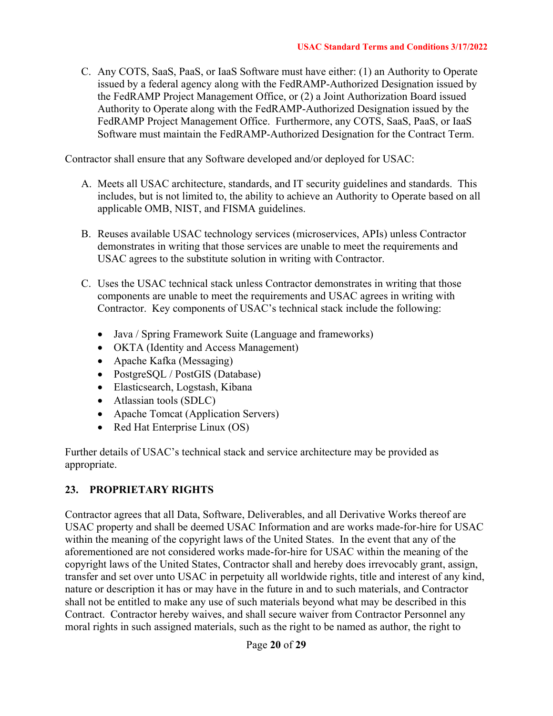C. Any COTS, SaaS, PaaS, or IaaS Software must have either: (1) an Authority to Operate issued by a federal agency along with the FedRAMP-Authorized Designation issued by the FedRAMP Project Management Office, or (2) a Joint Authorization Board issued Authority to Operate along with the FedRAMP-Authorized Designation issued by the FedRAMP Project Management Office. Furthermore, any COTS, SaaS, PaaS, or IaaS Software must maintain the FedRAMP-Authorized Designation for the Contract Term.

Contractor shall ensure that any Software developed and/or deployed for USAC:

- A. Meets all USAC architecture, standards, and IT security guidelines and standards. This includes, but is not limited to, the ability to achieve an Authority to Operate based on all applicable OMB, NIST, and FISMA guidelines.
- B. Reuses available USAC technology services (microservices, APIs) unless Contractor demonstrates in writing that those services are unable to meet the requirements and USAC agrees to the substitute solution in writing with Contractor.
- C. Uses the USAC technical stack unless Contractor demonstrates in writing that those components are unable to meet the requirements and USAC agrees in writing with Contractor. Key components of USAC's technical stack include the following:
	- Java / Spring Framework Suite (Language and frameworks)
	- OKTA (Identity and Access Management)
	- Apache Kafka (Messaging)
	- PostgreSQL / PostGIS (Database)
	- Elasticsearch, Logstash, Kibana
	- Atlassian tools (SDLC)
	- Apache Tomcat (Application Servers)
	- Red Hat Enterprise Linux (OS)

Further details of USAC's technical stack and service architecture may be provided as appropriate.

#### **23. PROPRIETARY RIGHTS**

Contractor agrees that all Data, Software, Deliverables, and all Derivative Works thereof are USAC property and shall be deemed USAC Information and are works made-for-hire for USAC within the meaning of the copyright laws of the United States. In the event that any of the aforementioned are not considered works made-for-hire for USAC within the meaning of the copyright laws of the United States, Contractor shall and hereby does irrevocably grant, assign, transfer and set over unto USAC in perpetuity all worldwide rights, title and interest of any kind, nature or description it has or may have in the future in and to such materials, and Contractor shall not be entitled to make any use of such materials beyond what may be described in this Contract. Contractor hereby waives, and shall secure waiver from Contractor Personnel any moral rights in such assigned materials, such as the right to be named as author, the right to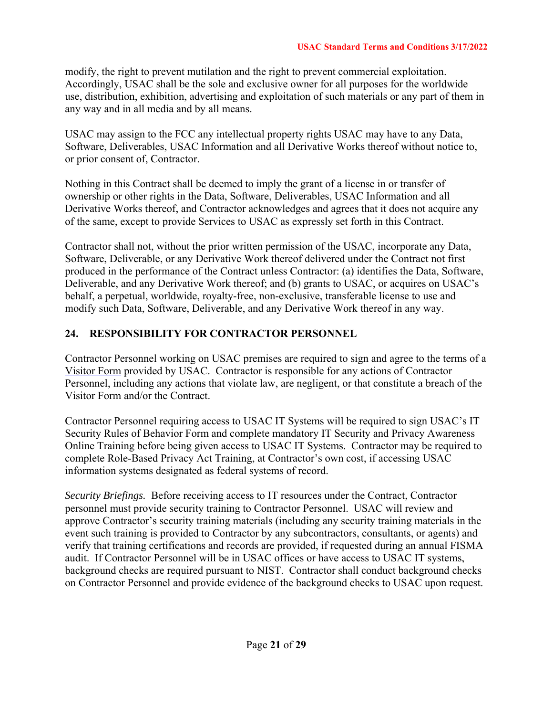modify, the right to prevent mutilation and the right to prevent commercial exploitation. Accordingly, USAC shall be the sole and exclusive owner for all purposes for the worldwide use, distribution, exhibition, advertising and exploitation of such materials or any part of them in any way and in all media and by all means.

USAC may assign to the FCC any intellectual property rights USAC may have to any Data, Software, Deliverables, USAC Information and all Derivative Works thereof without notice to, or prior consent of, Contractor.

Nothing in this Contract shall be deemed to imply the grant of a license in or transfer of ownership or other rights in the Data, Software, Deliverables, USAC Information and all Derivative Works thereof, and Contractor acknowledges and agrees that it does not acquire any of the same, except to provide Services to USAC as expressly set forth in this Contract.

Contractor shall not, without the prior written permission of the USAC, incorporate any Data, Software, Deliverable, or any Derivative Work thereof delivered under the Contract not first produced in the performance of the Contract unless Contractor: (a) identifies the Data, Software, Deliverable, and any Derivative Work thereof; and (b) grants to USAC, or acquires on USAC's behalf, a perpetual, worldwide, royalty-free, non-exclusive, transferable license to use and modify such Data, Software, Deliverable, and any Derivative Work thereof in any way.

# **24. RESPONSIBILITY FOR CONTRACTOR PERSONNEL**

Contractor Personnel working on USAC premises are required to sign and agree to the terms of a Visitor Form provided by USAC. Contractor is responsible for any actions of Contractor Personnel, including any actions that violate law, are negligent, or that constitute a breach of the Visitor Form and/or the Contract.

Contractor Personnel requiring access to USAC IT Systems will be required to sign USAC's IT Security Rules of Behavior Form and complete mandatory IT Security and Privacy Awareness Online Training before being given access to USAC IT Systems. Contractor may be required to complete Role-Based Privacy Act Training, at Contractor's own cost, if accessing USAC information systems designated as federal systems of record.

*Security Briefings.* Before receiving access to IT resources under the Contract, Contractor personnel must provide security training to Contractor Personnel. USAC will review and approve Contractor's security training materials (including any security training materials in the event such training is provided to Contractor by any subcontractors, consultants, or agents) and verify that training certifications and records are provided, if requested during an annual FISMA audit. If Contractor Personnel will be in USAC offices or have access to USAC IT systems, background checks are required pursuant to NIST. Contractor shall conduct background checks on Contractor Personnel and provide evidence of the background checks to USAC upon request.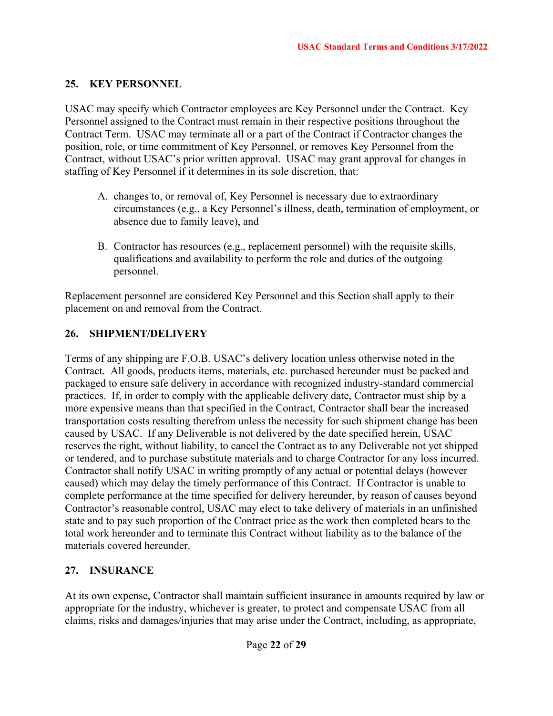## **25. KEY PERSONNEL**

USAC may specify which Contractor employees are Key Personnel under the Contract. Key Personnel assigned to the Contract must remain in their respective positions throughout the Contract Term. USAC may terminate all or a part of the Contract if Contractor changes the position, role, or time commitment of Key Personnel, or removes Key Personnel from the Contract, without USAC's prior written approval. USAC may grant approval for changes in staffing of Key Personnel if it determines in its sole discretion, that:

- A. changes to, or removal of, Key Personnel is necessary due to extraordinary circumstances (e.g., a Key Personnel's illness, death, termination of employment, or absence due to family leave), and
- B. Contractor has resources (e.g., replacement personnel) with the requisite skills, qualifications and availability to perform the role and duties of the outgoing personnel.

Replacement personnel are considered Key Personnel and this Section shall apply to their placement on and removal from the Contract.

# **26. SHIPMENT/DELIVERY**

Terms of any shipping are F.O.B. USAC's delivery location unless otherwise noted in the Contract. All goods, products items, materials, etc. purchased hereunder must be packed and packaged to ensure safe delivery in accordance with recognized industry-standard commercial practices. If, in order to comply with the applicable delivery date, Contractor must ship by a more expensive means than that specified in the Contract, Contractor shall bear the increased transportation costs resulting therefrom unless the necessity for such shipment change has been caused by USAC. If any Deliverable is not delivered by the date specified herein, USAC reserves the right, without liability, to cancel the Contract as to any Deliverable not yet shipped or tendered, and to purchase substitute materials and to charge Contractor for any loss incurred. Contractor shall notify USAC in writing promptly of any actual or potential delays (however caused) which may delay the timely performance of this Contract. If Contractor is unable to complete performance at the time specified for delivery hereunder, by reason of causes beyond Contractor's reasonable control, USAC may elect to take delivery of materials in an unfinished state and to pay such proportion of the Contract price as the work then completed bears to the total work hereunder and to terminate this Contract without liability as to the balance of the materials covered hereunder.

#### **27. INSURANCE**

At its own expense, Contractor shall maintain sufficient insurance in amounts required by law or appropriate for the industry, whichever is greater, to protect and compensate USAC from all claims, risks and damages/injuries that may arise under the Contract, including, as appropriate,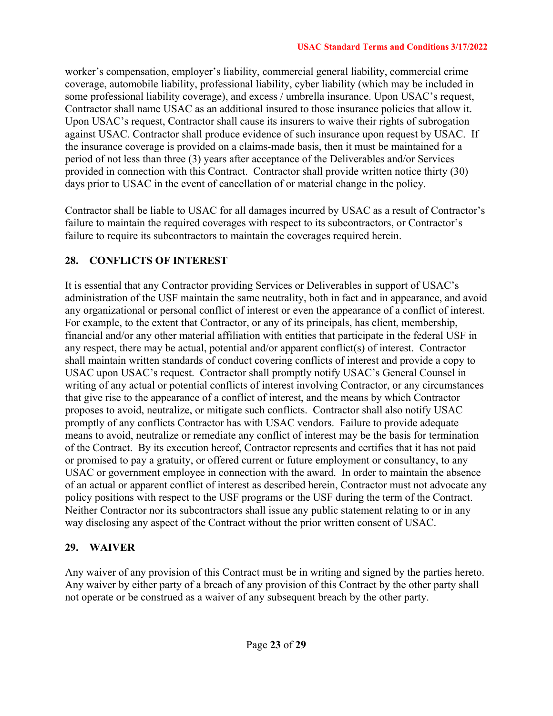worker's compensation, employer's liability, commercial general liability, commercial crime coverage, automobile liability, professional liability, cyber liability (which may be included in some professional liability coverage), and excess / umbrella insurance. Upon USAC's request, Contractor shall name USAC as an additional insured to those insurance policies that allow it. Upon USAC's request, Contractor shall cause its insurers to waive their rights of subrogation against USAC. Contractor shall produce evidence of such insurance upon request by USAC. If the insurance coverage is provided on a claims-made basis, then it must be maintained for a period of not less than three (3) years after acceptance of the Deliverables and/or Services provided in connection with this Contract. Contractor shall provide written notice thirty (30) days prior to USAC in the event of cancellation of or material change in the policy.

Contractor shall be liable to USAC for all damages incurred by USAC as a result of Contractor's failure to maintain the required coverages with respect to its subcontractors, or Contractor's failure to require its subcontractors to maintain the coverages required herein.

# **28. CONFLICTS OF INTEREST**

It is essential that any Contractor providing Services or Deliverables in support of USAC's administration of the USF maintain the same neutrality, both in fact and in appearance, and avoid any organizational or personal conflict of interest or even the appearance of a conflict of interest. For example, to the extent that Contractor, or any of its principals, has client, membership, financial and/or any other material affiliation with entities that participate in the federal USF in any respect, there may be actual, potential and/or apparent conflict(s) of interest. Contractor shall maintain written standards of conduct covering conflicts of interest and provide a copy to USAC upon USAC's request. Contractor shall promptly notify USAC's General Counsel in writing of any actual or potential conflicts of interest involving Contractor, or any circumstances that give rise to the appearance of a conflict of interest, and the means by which Contractor proposes to avoid, neutralize, or mitigate such conflicts. Contractor shall also notify USAC promptly of any conflicts Contractor has with USAC vendors. Failure to provide adequate means to avoid, neutralize or remediate any conflict of interest may be the basis for termination of the Contract. By its execution hereof, Contractor represents and certifies that it has not paid or promised to pay a gratuity, or offered current or future employment or consultancy, to any USAC or government employee in connection with the award. In order to maintain the absence of an actual or apparent conflict of interest as described herein, Contractor must not advocate any policy positions with respect to the USF programs or the USF during the term of the Contract. Neither Contractor nor its subcontractors shall issue any public statement relating to or in any way disclosing any aspect of the Contract without the prior written consent of USAC.

# **29. WAIVER**

Any waiver of any provision of this Contract must be in writing and signed by the parties hereto. Any waiver by either party of a breach of any provision of this Contract by the other party shall not operate or be construed as a waiver of any subsequent breach by the other party.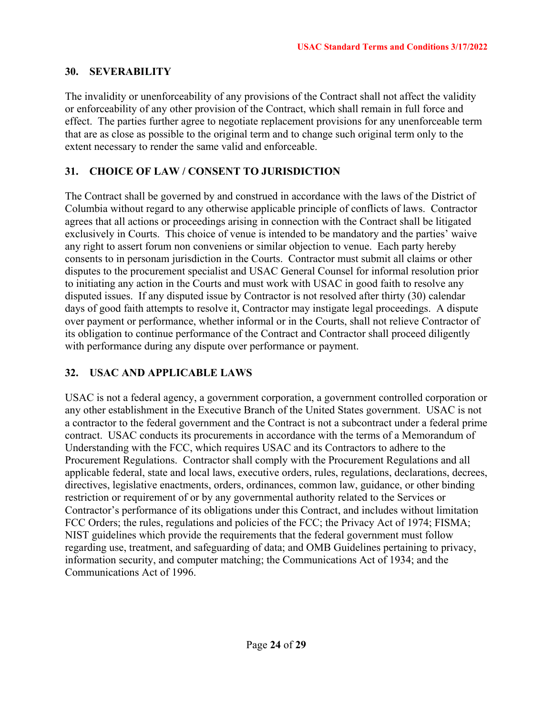#### **30. SEVERABILITY**

The invalidity or unenforceability of any provisions of the Contract shall not affect the validity or enforceability of any other provision of the Contract, which shall remain in full force and effect. The parties further agree to negotiate replacement provisions for any unenforceable term that are as close as possible to the original term and to change such original term only to the extent necessary to render the same valid and enforceable.

# **31. CHOICE OF LAW / CONSENT TO JURISDICTION**

The Contract shall be governed by and construed in accordance with the laws of the District of Columbia without regard to any otherwise applicable principle of conflicts of laws. Contractor agrees that all actions or proceedings arising in connection with the Contract shall be litigated exclusively in Courts. This choice of venue is intended to be mandatory and the parties' waive any right to assert forum non conveniens or similar objection to venue. Each party hereby consents to in personam jurisdiction in the Courts. Contractor must submit all claims or other disputes to the procurement specialist and USAC General Counsel for informal resolution prior to initiating any action in the Courts and must work with USAC in good faith to resolve any disputed issues. If any disputed issue by Contractor is not resolved after thirty (30) calendar days of good faith attempts to resolve it, Contractor may instigate legal proceedings. A dispute over payment or performance, whether informal or in the Courts, shall not relieve Contractor of its obligation to continue performance of the Contract and Contractor shall proceed diligently with performance during any dispute over performance or payment.

# **32. USAC AND APPLICABLE LAWS**

USAC is not a federal agency, a government corporation, a government controlled corporation or any other establishment in the Executive Branch of the United States government. USAC is not a contractor to the federal government and the Contract is not a subcontract under a federal prime contract. USAC conducts its procurements in accordance with the terms of a Memorandum of Understanding with the FCC, which requires USAC and its Contractors to adhere to the Procurement Regulations. Contractor shall comply with the Procurement Regulations and all applicable federal, state and local laws, executive orders, rules, regulations, declarations, decrees, directives, legislative enactments, orders, ordinances, common law, guidance, or other binding restriction or requirement of or by any governmental authority related to the Services or Contractor's performance of its obligations under this Contract, and includes without limitation FCC Orders; the rules, regulations and policies of the FCC; the Privacy Act of 1974; FISMA; NIST guidelines which provide the requirements that the federal government must follow regarding use, treatment, and safeguarding of data; and OMB Guidelines pertaining to privacy, information security, and computer matching; the Communications Act of 1934; and the Communications Act of 1996.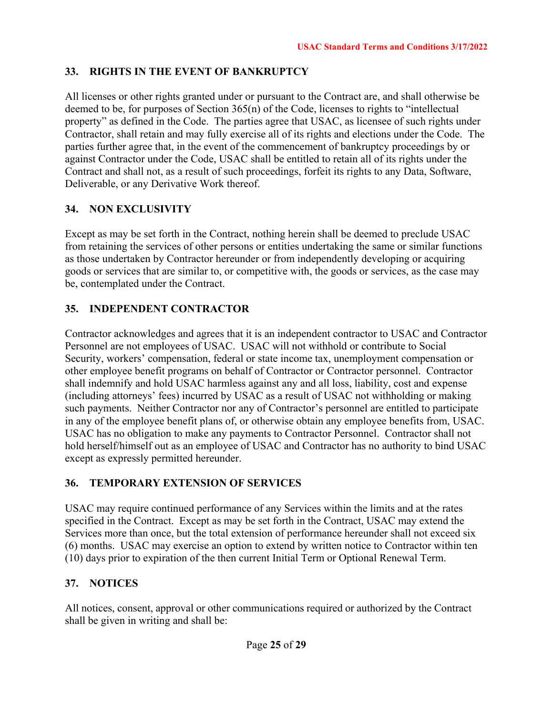# **33. RIGHTS IN THE EVENT OF BANKRUPTCY**

All licenses or other rights granted under or pursuant to the Contract are, and shall otherwise be deemed to be, for purposes of Section 365(n) of the Code, licenses to rights to "intellectual property" as defined in the Code. The parties agree that USAC, as licensee of such rights under Contractor, shall retain and may fully exercise all of its rights and elections under the Code. The parties further agree that, in the event of the commencement of bankruptcy proceedings by or against Contractor under the Code, USAC shall be entitled to retain all of its rights under the Contract and shall not, as a result of such proceedings, forfeit its rights to any Data, Software, Deliverable, or any Derivative Work thereof.

# **34. NON EXCLUSIVITY**

Except as may be set forth in the Contract, nothing herein shall be deemed to preclude USAC from retaining the services of other persons or entities undertaking the same or similar functions as those undertaken by Contractor hereunder or from independently developing or acquiring goods or services that are similar to, or competitive with, the goods or services, as the case may be, contemplated under the Contract.

# **35. INDEPENDENT CONTRACTOR**

Contractor acknowledges and agrees that it is an independent contractor to USAC and Contractor Personnel are not employees of USAC. USAC will not withhold or contribute to Social Security, workers' compensation, federal or state income tax, unemployment compensation or other employee benefit programs on behalf of Contractor or Contractor personnel. Contractor shall indemnify and hold USAC harmless against any and all loss, liability, cost and expense (including attorneys' fees) incurred by USAC as a result of USAC not withholding or making such payments. Neither Contractor nor any of Contractor's personnel are entitled to participate in any of the employee benefit plans of, or otherwise obtain any employee benefits from, USAC. USAC has no obligation to make any payments to Contractor Personnel. Contractor shall not hold herself/himself out as an employee of USAC and Contractor has no authority to bind USAC except as expressly permitted hereunder.

# **36. TEMPORARY EXTENSION OF SERVICES**

USAC may require continued performance of any Services within the limits and at the rates specified in the Contract. Except as may be set forth in the Contract, USAC may extend the Services more than once, but the total extension of performance hereunder shall not exceed six (6) months. USAC may exercise an option to extend by written notice to Contractor within ten (10) days prior to expiration of the then current Initial Term or Optional Renewal Term.

# **37. NOTICES**

All notices, consent, approval or other communications required or authorized by the Contract shall be given in writing and shall be: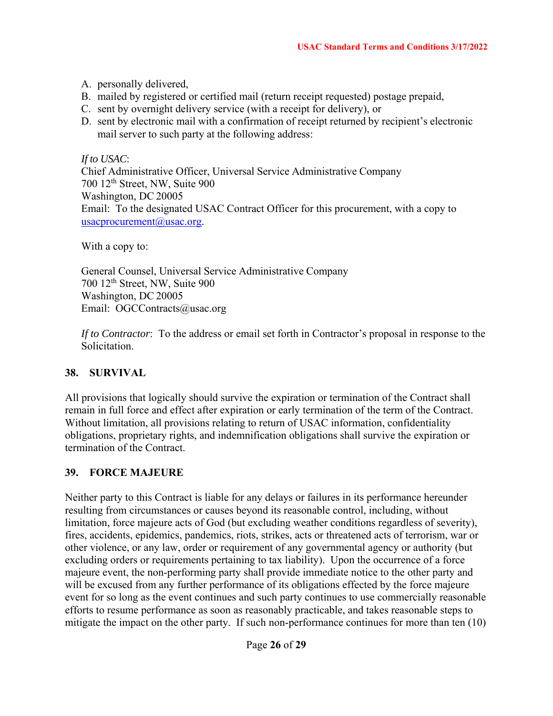- A. personally delivered,
- B. mailed by registered or certified mail (return receipt requested) postage prepaid,
- C. sent by overnight delivery service (with a receipt for delivery), or
- D. sent by electronic mail with a confirmation of receipt returned by recipient's electronic mail server to such party at the following address:

*If to USAC*:

Chief Administrative Officer, Universal Service Administrative Company 700 12th Street, NW, Suite 900 Washington, DC 20005 Email: To the designated USAC Contract Officer for this procurement, with a copy to usacprocurement@usac.org.

With a copy to:

General Counsel, Universal Service Administrative Company 700 12th Street, NW, Suite 900 Washington, DC 20005 Email: OGCContracts@usac.org

*If to Contractor*: To the address or email set forth in Contractor's proposal in response to the Solicitation.

#### **38. SURVIVAL**

All provisions that logically should survive the expiration or termination of the Contract shall remain in full force and effect after expiration or early termination of the term of the Contract. Without limitation, all provisions relating to return of USAC information, confidentiality obligations, proprietary rights, and indemnification obligations shall survive the expiration or termination of the Contract.

#### **39. FORCE MAJEURE**

Neither party to this Contract is liable for any delays or failures in its performance hereunder resulting from circumstances or causes beyond its reasonable control, including, without limitation, force majeure acts of God (but excluding weather conditions regardless of severity), fires, accidents, epidemics, pandemics, riots, strikes, acts or threatened acts of terrorism, war or other violence, or any law, order or requirement of any governmental agency or authority (but excluding orders or requirements pertaining to tax liability). Upon the occurrence of a force majeure event, the non-performing party shall provide immediate notice to the other party and will be excused from any further performance of its obligations effected by the force majeure event for so long as the event continues and such party continues to use commercially reasonable efforts to resume performance as soon as reasonably practicable, and takes reasonable steps to mitigate the impact on the other party. If such non-performance continues for more than ten (10)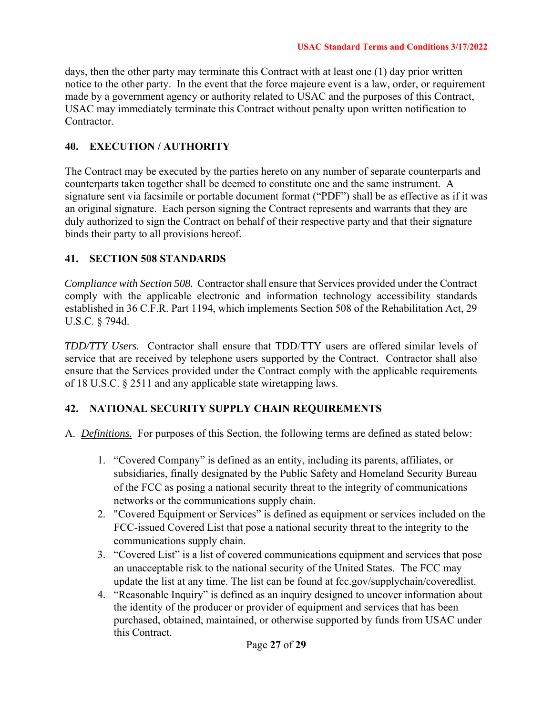days, then the other party may terminate this Contract with at least one (1) day prior written notice to the other party. In the event that the force majeure event is a law, order, or requirement made by a government agency or authority related to USAC and the purposes of this Contract, USAC may immediately terminate this Contract without penalty upon written notification to Contractor.

#### **40. EXECUTION / AUTHORITY**

The Contract may be executed by the parties hereto on any number of separate counterparts and counterparts taken together shall be deemed to constitute one and the same instrument. A signature sent via facsimile or portable document format ("PDF") shall be as effective as if it was an original signature. Each person signing the Contract represents and warrants that they are duly authorized to sign the Contract on behalf of their respective party and that their signature binds their party to all provisions hereof.

#### **41. SECTION 508 STANDARDS**

*Compliance with Section 508.* Contractor shall ensure that Services provided under the Contract comply with the applicable electronic and information technology accessibility standards established in 36 C.F.R. Part 1194, which implements Section 508 of the Rehabilitation Act, 29 U.S.C. § 794d.

*TDD/TTY Users.* Contractor shall ensure that TDD/TTY users are offered similar levels of service that are received by telephone users supported by the Contract. Contractor shall also ensure that the Services provided under the Contract comply with the applicable requirements of 18 U.S.C. § 2511 and any applicable state wiretapping laws.

#### **42. NATIONAL SECURITY SUPPLY CHAIN REQUIREMENTS**

- A. *Definitions.* For purposes of this Section, the following terms are defined as stated below:
	- 1. "Covered Company" is defined as an entity, including its parents, affiliates, or subsidiaries, finally designated by the Public Safety and Homeland Security Bureau of the FCC as posing a national security threat to the integrity of communications networks or the communications supply chain.
	- 2. "Covered Equipment or Services" is defined as equipment or services included on the FCC-issued Covered List that pose a national security threat to the integrity to the communications supply chain.
	- 3. "Covered List" is a list of covered communications equipment and services that pose an unacceptable risk to the national security of the United States. The FCC may update the list at any time. The list can be found at fcc.gov/supplychain/coveredlist.
	- 4. "Reasonable Inquiry" is defined as an inquiry designed to uncover information about the identity of the producer or provider of equipment and services that has been purchased, obtained, maintained, or otherwise supported by funds from USAC under this Contract.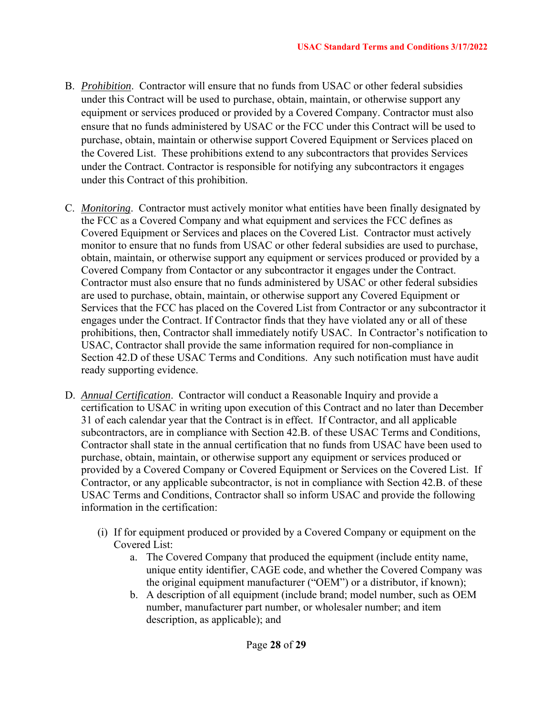- B. *Prohibition*. Contractor will ensure that no funds from USAC or other federal subsidies under this Contract will be used to purchase, obtain, maintain, or otherwise support any equipment or services produced or provided by a Covered Company. Contractor must also ensure that no funds administered by USAC or the FCC under this Contract will be used to purchase, obtain, maintain or otherwise support Covered Equipment or Services placed on the Covered List. These prohibitions extend to any subcontractors that provides Services under the Contract. Contractor is responsible for notifying any subcontractors it engages under this Contract of this prohibition.
- C. *Monitoring*. Contractor must actively monitor what entities have been finally designated by the FCC as a Covered Company and what equipment and services the FCC defines as Covered Equipment or Services and places on the Covered List. Contractor must actively monitor to ensure that no funds from USAC or other federal subsidies are used to purchase, obtain, maintain, or otherwise support any equipment or services produced or provided by a Covered Company from Contactor or any subcontractor it engages under the Contract. Contractor must also ensure that no funds administered by USAC or other federal subsidies are used to purchase, obtain, maintain, or otherwise support any Covered Equipment or Services that the FCC has placed on the Covered List from Contractor or any subcontractor it engages under the Contract. If Contractor finds that they have violated any or all of these prohibitions, then, Contractor shall immediately notify USAC. In Contractor's notification to USAC, Contractor shall provide the same information required for non-compliance in Section 42.D of these USAC Terms and Conditions. Any such notification must have audit ready supporting evidence.
- D. *Annual Certification*. Contractor will conduct a Reasonable Inquiry and provide a certification to USAC in writing upon execution of this Contract and no later than December 31 of each calendar year that the Contract is in effect. If Contractor, and all applicable subcontractors, are in compliance with Section 42.B. of these USAC Terms and Conditions, Contractor shall state in the annual certification that no funds from USAC have been used to purchase, obtain, maintain, or otherwise support any equipment or services produced or provided by a Covered Company or Covered Equipment or Services on the Covered List. If Contractor, or any applicable subcontractor, is not in compliance with Section 42.B. of these USAC Terms and Conditions, Contractor shall so inform USAC and provide the following information in the certification:
	- (i) If for equipment produced or provided by a Covered Company or equipment on the Covered List:
		- a. The Covered Company that produced the equipment (include entity name, unique entity identifier, CAGE code, and whether the Covered Company was the original equipment manufacturer ("OEM") or a distributor, if known);
		- b. A description of all equipment (include brand; model number, such as OEM number, manufacturer part number, or wholesaler number; and item description, as applicable); and